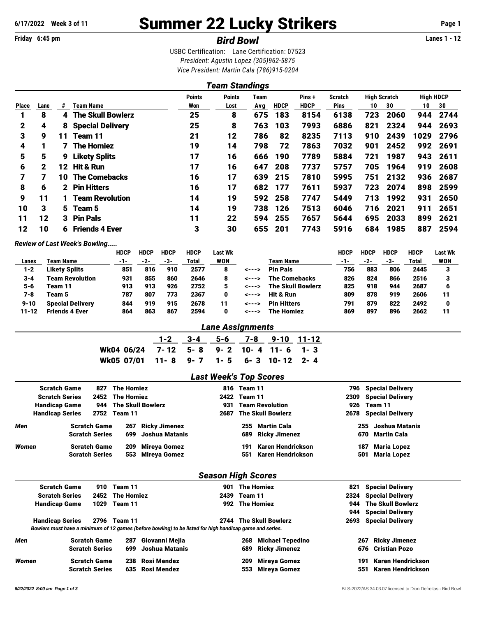# **6/17/2022 Week 3 of 11** Summer 22 Lucky Strikers **Page 1**

## **Friday 6:45 pm** *Bird Bowl* **Lanes 1 - 12**

USBC Certification: Lane Certification: 07523 *President: Agustin Lopez (305)962-5875 Vice President: Martin Cala (786)915-0204*

| <b>High HDCP</b><br><b>Points</b><br><b>High Scratch</b><br>Points<br>Pins+<br><b>Scratch</b><br>Team |    |                          |                     |      |     |             |             |             |                       |      |      |      |
|-------------------------------------------------------------------------------------------------------|----|--------------------------|---------------------|------|-----|-------------|-------------|-------------|-----------------------|------|------|------|
| Lane                                                                                                  | #  | Team Name                | Won                 | Lost | Avg | <b>HDCP</b> | <b>HDCP</b> | <b>Pins</b> | 10                    | 30   | 10   | 30   |
| 8                                                                                                     | 4  | <b>The Skull Bowlerz</b> | 25                  | 8    | 675 | 183         | 8154        | 6138        | 723                   | 2060 | 944  | 2744 |
| 4                                                                                                     | 8  | <b>Special Delivery</b>  | 25                  | 8    | 763 | 103         | 7993        | 6886        | 821                   | 2324 | 944  | 2693 |
| 9                                                                                                     | 11 | Team 11                  | 21                  | 12   | 786 | 82          | 8235        | 7113        | 910                   | 2439 | 1029 | 2796 |
|                                                                                                       |    | <b>The Homiez</b>        | 19                  | 14   | 798 | 72          | 7863        | 7032        | 901                   | 2452 | 992  | 2691 |
| 5                                                                                                     | 9  | <b>Likety Splits</b>     | 17                  | 16   | 666 | 190         | 7789        | 5884        | 721                   | 1987 | 943  | 2611 |
| $\mathbf 2$                                                                                           | 12 | <b>Hit &amp; Run</b>     | 17                  | 16   | 647 | 208         | 7737        | 5757        | 705                   | 1964 | 919  | 2608 |
| 7                                                                                                     | 10 | <b>The Comebacks</b>     | 16                  | 17   | 639 | 215         | 7810        | 5995        | 751                   | 2132 | 936  | 2687 |
| 6                                                                                                     |    | <b>Pin Hitters</b>       | 16                  | 17   | 682 | 177         | 7611        | 5937        | 723                   | 2074 | 898  | 2599 |
| 11                                                                                                    |    | <b>Team Revolution</b>   | 14                  | 19   | 592 | 258         | 7747        | 5449        | 713                   | 1992 | 931  | 2650 |
| 3                                                                                                     |    |                          | 14                  | 19   | 738 | 126         | 7513        | 6046        | 716                   | 2021 | 911  | 2651 |
| 12                                                                                                    |    | <b>Pin Pals</b>          | 11                  | 22   | 594 | 255         | 7657        | 5644        | 695                   | 2033 | 899  | 2621 |
| 10                                                                                                    | 6  | <b>Friends 4 Ever</b>    | 3                   | 30   | 655 | 201         | 7743        | 5916        | 684                   | 1985 | 887  | 2594 |
|                                                                                                       |    |                          | 2<br>5 Team 5<br>3. |      |     |             |             |             | <b>Team Standings</b> |      |      |      |

#### *Review of Last Week's Bowling.....*

|           |                         | HDCP | <b>HDCP</b> | HDCP | <b>HDCP</b> | Last Wk    |       |                          | HDCP | HDCP | HDCP | <b>HDCP</b> | Last Wk |
|-----------|-------------------------|------|-------------|------|-------------|------------|-------|--------------------------|------|------|------|-------------|---------|
| Lanes     | Team Name               | -1-  | -2-         | -3-  | Total       | <b>WON</b> |       | Team Name                | -1-  | -2-  | -3-  | Total       | WON     |
| 1-2       | <b>Likety Splits</b>    | 851  | 816         | 910  | 2577        |            | <---> | <b>Pin Pals</b>          | 756  | 883  | 806  | 2445        |         |
| $3 - 4$   | <b>Team Revolution</b>  | 931  | 855         | 860  | 2646        |            | <---> | <b>The Comebacks</b>     | 826  | 824  | 866  | 2516        |         |
| $5 - 6$   | Team 11                 | 913  | 913         | 926  | 2752        |            | <---> | <b>The Skull Bowlerz</b> | 825  | 918  | 944  | 2687        |         |
| 7-8       | Team 5                  | 787  | 807         | 773  | 2367        |            | <---> | Hit & Run                | 809  | 878  | 919  | 2606        | 11      |
| $9 - 10$  | <b>Special Deliverv</b> | 844  | 919         | 915  | 2678        | 11         | <---> | <b>Pin Hitters</b>       | 791  | 879  | 822  | 2492        |         |
| $11 - 12$ | <b>Friends 4 Ever</b>   | 864  | 863         | 867  | 2594        |            | <---> | <b>The Homiez</b>        | 869  | 897  | 896  | 2662        | 11      |

#### *Lane Assignments*

|                                       |  |  | 1-2 3-4 5-6 7-8 9-10 11-12 |  |
|---------------------------------------|--|--|----------------------------|--|
| Wk04 06/24 7-12 5-8 9-2 10-4 11-6 1-3 |  |  |                            |  |
| Wk05 07/01 11-8 9-7 1-5 6-3 10-12 2-4 |  |  |                            |  |

## *Last Week's Top Scores* Scratch Game 827 The Homiez **816 Special Delivery** 816 Team 11 **816** Team 11 Scratch Series 2452 The Homiez 2422 Team 11 2309 Special Delivery Handicap Game 944 The Skull Bowlerz 1931 Team Revolution 1926 Team 11 Handicap Series 2752 Team 11 2687 The Skull Bowlerz 2678 Special Delivery *Men* Scratch Game 267 Ricky Jimenez 255 Martin Cala 255 Joshua Matanis Scratch Series 699 Joshua Matanis 689 Ricky Jimenez 670 Martin Cala *Women* Scratch Game 209 Mireya Gomez 191 Karen Hendrickson 187 Maria Lopez Scratch Series 553 Mireya Gomez 551 Karen Hendrickson 501 Maria Lopez

#### *Season High Scores*

|       | <b>Scratch Game</b>    |                       | 910 Team 11     |                                                                                                          | 901  |              | The Homiez               |     | <b>821 Special Delivery</b> |  |
|-------|------------------------|-----------------------|-----------------|----------------------------------------------------------------------------------------------------------|------|--------------|--------------------------|-----|-----------------------------|--|
|       | <b>Scratch Series</b>  |                       | 2452 The Homiez |                                                                                                          |      | 2439 Team 11 |                          |     | 2324 Special Delivery       |  |
|       | <b>Handicap Game</b>   | 1029                  | Team 11         |                                                                                                          |      |              | 992 The Homiez           |     | 944 The Skull Bowlerz       |  |
|       |                        |                       |                 |                                                                                                          |      |              |                          |     | 944 Special Delivery        |  |
|       | <b>Handicap Series</b> | 2796                  | Team 11         |                                                                                                          | 2744 |              | <b>The Skull Bowlerz</b> |     | 2693 Special Delivery       |  |
|       |                        |                       |                 | Bowlers must have a minimum of 12 games (before bowling) to be listed for high handicap game and series. |      |              |                          |     |                             |  |
| Men   |                        | <b>Scratch Game</b>   |                 | 287 Giovanni Mejia                                                                                       |      | 268          | <b>Michael Tepedino</b>  | 267 | <b>Ricky Jimenez</b>        |  |
|       |                        | <b>Scratch Series</b> | 699             | Joshua Matanis                                                                                           |      | 689.         | <b>Ricky Jimenez</b>     |     | 676 Cristian Pozo           |  |
| Women |                        | <b>Scratch Game</b>   | 238             | Rosi Mendez                                                                                              |      | 209          | Mireya Gomez             | 191 | Karen Hendrickson           |  |
|       |                        | <b>Scratch Series</b> |                 | 635 Rosi Mendez                                                                                          |      | 553.         | Mireva Gomez             | 551 | Karen Hendrickson           |  |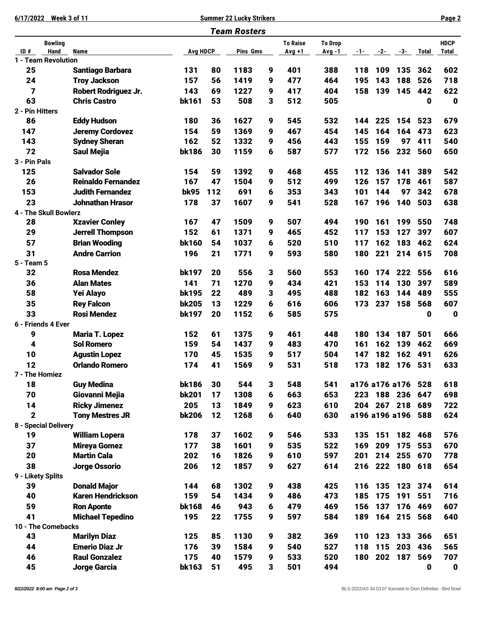**6/17/2022 Week 3 of 11 Summer 22 Lucky Strikers Page 2**

|                                                  |                                                 |                 |     | <b>Team Rosters</b> |   |                 |                |       |         |                |             |              |
|--------------------------------------------------|-------------------------------------------------|-----------------|-----|---------------------|---|-----------------|----------------|-------|---------|----------------|-------------|--------------|
|                                                  | <b>Bowling</b>                                  |                 |     |                     |   | <b>To Raise</b> | <b>To Drop</b> |       |         |                |             | <b>HDCP</b>  |
| $\overline{ID}$ #<br>Hand<br>1 - Team Revolution | <b>Name</b>                                     | <b>Avg HDCP</b> |     | Pins Gms            |   | Avg +1          | Avg -1         | $-1-$ | $-2-$   | $-3-$          | Total       | <b>Total</b> |
| 25                                               | <b>Santiago Barbara</b>                         | 131             | 80  | 1183                | 9 | 401             | 388            | 118   | 109     | 135            | 362         | 602          |
| 24                                               | <b>Troy Jackson</b>                             | 157             | 56  | 1419                | 9 | 477             | 464            | 195   | 143     | 188            | 526         | 718          |
| 7                                                | <b>Robert Rodriguez Jr.</b>                     | 143             | 69  | 1227                | 9 | 417             | 404            | 158   | 139     | 145            | 442         | 622          |
| 63                                               | <b>Chris Castro</b>                             | bk161           | 53  | 508                 | 3 | 512             | 505            |       |         |                | 0           | $\bf{0}$     |
| 2 - Pin Hitters                                  |                                                 |                 |     |                     |   |                 |                |       |         |                |             |              |
| 86                                               | <b>Eddy Hudson</b>                              | 180             | 36  | 1627                | 9 | 545             | 532            | 144   | 225     | 154            | 523         | 679          |
| 147                                              | <b>Jeremy Cordovez</b>                          | 154             | 59  | 1369                | 9 | 467             | 454            | 145   | 164     | 164            | 473         | 623          |
| 143                                              | <b>Sydney Sheran</b>                            | 162             | 52  | 1332                | 9 | 456             | 443            | 155   | 159     | 97             | 411         | 540          |
| 72                                               | <b>Saul Mejia</b>                               | <b>bk186</b>    | 30  | 1159                | 6 | 587             | 577            | 172   | 156     | 232            | 560         | 650          |
| 3 - Pin Pals                                     |                                                 |                 |     |                     |   |                 |                |       |         |                |             |              |
| 125                                              | <b>Salvador Sole</b>                            | 154             | 59  | 1392                | 9 | 468             | 455            | 112   | 136     | 141            | 389         | 542          |
| 26                                               | <b>Reinaldo Fernandez</b>                       | 167             | 47  | 1504                | 9 | 512             | 499            | 126   | 157     | 178            | 461         | 587          |
| 153                                              | <b>Judith Fernandez</b>                         | <b>bk95</b>     | 112 | 691                 | 6 | 353             | 343            | 101   | 144     | 97             | 342         | 678          |
| 23                                               | <b>Johnathan Hrasor</b>                         | 178             | 37  | 1607                | 9 | 541             | 528            | 167   | 196     | 140            | 503         | 638          |
| 4 - The Skull Bowlerz                            |                                                 |                 |     |                     |   |                 |                |       |         |                |             |              |
| 28                                               | <b>Xzavier Conley</b>                           | 167             | 47  | 1509                | 9 | 507             | 494            | 190   | 161     | 199            | 550         | 748          |
| 29                                               | <b>Jerrell Thompson</b>                         | 152             | 61  | 1371                | 9 | 465             | 452            | 117   | 153     | 127            | 397         | 607          |
| 57                                               | <b>Brian Wooding</b>                            | <b>bk160</b>    | 54  | 1037                | 6 | 520             | 510            | 117   | 162     | 183            | 462         | 624          |
| 31                                               | <b>Andre Carrion</b>                            | 196             | 21  | 1771                | 9 | 593             | 580            | 180   | 221     | 214            | 615         | 708          |
| 5 - Team 5                                       |                                                 |                 |     |                     |   |                 |                |       |         |                |             |              |
| 32                                               | <b>Rosa Mendez</b>                              | <b>bk197</b>    | 20  | 556                 | 3 | 560             | 553            | 160   | 174     | 222            | 556         | 616          |
| 36                                               | <b>Alan Mates</b>                               | 141             | 71  | 1270                | 9 | 434             | 421            | 153   | 114     | 130            | 397         | 589          |
| 58                                               | Yei Alayo                                       | <b>bk195</b>    | 22  | 489                 | 3 | 495             | 488            | 182   | 163     | 144            | 489         | 555          |
| 35                                               | <b>Rey Falcon</b>                               | <b>bk205</b>    | 13  | 1229                | 6 | 616             | 606            | 173   | 237     | 158            | 568         | 607          |
| 33                                               | <b>Rosi Mendez</b>                              | <b>bk197</b>    | 20  | 1152                | 6 | 585             | 575            |       |         |                | 0           | $\mathbf 0$  |
| 6 - Friends 4 Ever                               |                                                 |                 |     |                     |   |                 |                |       |         |                |             |              |
| 9                                                | <b>Maria T. Lopez</b>                           | 152             | 61  | 1375                | 9 | 461             | 448            | 180   | 134     | 187            | 501         | 666          |
| 4                                                | <b>Sol Romero</b>                               | 159             | 54  | 1437                | 9 | 483             | 470            | 161   | 162     | 139            | 462         | 669          |
| 10                                               | <b>Agustin Lopez</b>                            | 170             | 45  | 1535                | 9 | 517             | 504            | 147   | 182     | 162            | 491         | 626          |
| 12                                               | <b>Orlando Romero</b>                           | 174             | 41  | 1569                | 9 | 531             | 518            | 173   | 182     | 176            | 531         | 633          |
| 7 - The Homiez                                   |                                                 |                 |     |                     |   |                 |                |       |         |                |             |              |
| 18                                               | <b>Guy Medina</b>                               | <b>bk186</b>    | 30  | 544                 | 3 | 548             | 541            |       |         | a176 a176 a176 | 528         | 618          |
| 70                                               | Giovanni Mejia                                  | <b>bk201</b>    | 17  | 1308                | 6 | 663             | 653            | 223   | 188 236 |                | 647         | 698          |
| 14                                               | <b>Ricky Jimenez</b>                            | 205             | 13  | 1849                | 9 | 623             | 610            |       |         | 204 267 218    | 689         | 722          |
| $\mathbf 2$                                      | <b>Tony Mestres JR</b>                          | <b>bk206</b>    | 12  | 1268                | 6 | 640             | 630            |       |         | a196 a196 a196 | 588         | 624          |
| 8 - Special Delivery                             |                                                 |                 |     |                     |   |                 |                |       |         |                |             |              |
| 19                                               | <b>William Lopera</b>                           | 178             | 37  | 1602                | 9 | 546             | 533            | 135   | 151     | 182            | 468         | 576          |
| 37                                               | <b>Mireya Gomez</b>                             | 177             | 38  | 1601                | 9 | 535             | 522            | 169   | 209     | 175            | 553         | 670          |
| 20                                               | <b>Martin Cala</b>                              | 202             | 16  | 1826                | 9 | 610             | 597            | 201   | 214     | 255            | 670         | 778          |
| 38                                               | <b>Jorge Ossorio</b>                            | 206             | 12  | 1857                | 9 | 627             | 614            | 216   |         | 222 180 618    |             | 654          |
| 9 - Likety Splits<br>39                          |                                                 | 144             | 68  | 1302                | 9 |                 | 425            | 116   | 135     | 123            | 374         | 614          |
| 40                                               | <b>Donald Major</b><br><b>Karen Hendrickson</b> | 159             | 54  | 1434                | 9 | 438<br>486      | 473            | 185   | 175     | 191            | 551         | 716          |
| 59                                               | <b>Ron Aponte</b>                               | <b>bk168</b>    | 46  | 943                 | 6 | 479             | 469            | 156   | 137     | 176            | 469         | 607          |
| 41                                               |                                                 |                 |     |                     |   |                 |                |       |         |                |             | 640          |
| 10 - The Comebacks                               | <b>Michael Tepedino</b>                         | 195             | 22  | 1755                | 9 | 597             | 584            | 189   | 164     |                | 215 568     |              |
| 43                                               | <b>Marilyn Diaz</b>                             | 125             | 85  | 1130                | 9 | 382             | 369            | 110   |         | 123 133        | 366         | 651          |
| 44                                               | <b>Emerio Diaz Jr</b>                           | 176             | 39  | 1584                | 9 | 540             | 527            | 118   | 115     | 203            | 436         | 565          |
| 46                                               | <b>Raul Gonzalez</b>                            | 175             | 40  | 1579                | 9 | 533             | 520            | 180   |         | 202 187        | 569         | 707          |
| 45                                               | <b>Jorge Garcia</b>                             | <b>bk163</b>    | 51  | 495                 | 3 | 501             | 494            |       |         |                | $\mathbf 0$ | $\mathbf 0$  |
|                                                  |                                                 |                 |     |                     |   |                 |                |       |         |                |             |              |